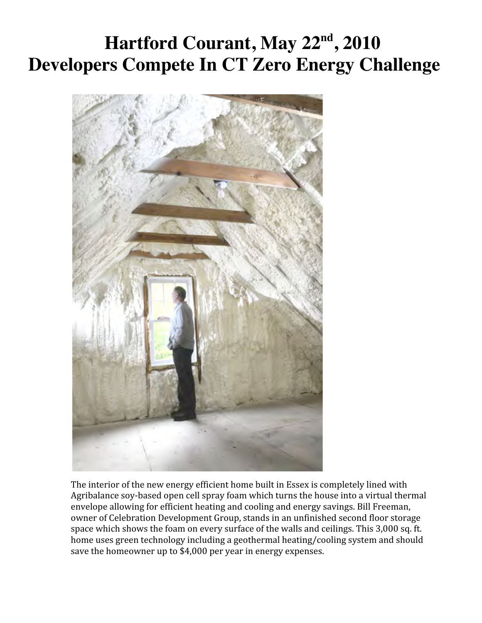## **Hartford Courant, May 22nd, 2010 Developers Compete In CT Zero Energy Challenge**



The interior of the new energy efficient home built in Essex is completely lined with Agribalance
soy‐based
open
cell
spray
foam
which
turns
the
house
into
a
virtual
thermal envelope allowing for efficient heating and cooling and energy savings. Bill Freeman, owner
of
Celebration
Development
Group,
stands
in
an
unfinished
second
floor
storage space which shows the foam on every surface of the walls and ceilings. This 3,000 sq. ft. home uses green technology including a geothermal heating/cooling system and should save the homeowner up to \$4,000 per year in energy expenses.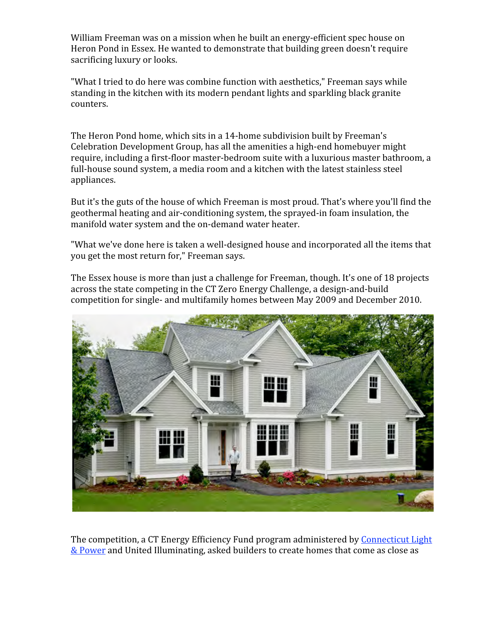William Freeman was on a mission when he built an energy-efficient spec house on Heron
Pond
in
Essex.
He
wanted
to
demonstrate
that
building
green
doesn't
require sacrificing
luxury
or
looks.

"What I tried to do here was combine function with aesthetics," Freeman says while standing
in
the
kitchen
with
its
modern
pendant
lights
and
sparkling
black
granite counters.

The
Heron
Pond
home,
which
sits
in
a
14‐home
subdivision
built
by
Freeman's Celebration
Development
Group,
has
all
the
amenities
a
high‐end
homebuyer
might require, including a first-floor master-bedroom suite with a luxurious master bathroom, a full-house sound system, a media room and a kitchen with the latest stainless steel appliances.

But it's the guts of the house of which Freeman is most proud. That's where you'll find the geothermal
heating
and
air‐conditioning
system,
the
sprayed‐in
foam
insulation,
the manifold water system and the on-demand water heater.

"What we've done here is taken a well-designed house and incorporated all the items that you
get
the
most
return
for,"
Freeman
says.

The Essex house is more than just a challenge for Freeman, though. It's one of 18 projects across
the
state
competing
in
the
CT
Zero
Energy
Challenge,
a
design‐and‐build competition
for
single‐
and
multifamily
homes
between
May
2009
and
December
2010.



The competition, a CT Energy Efficiency Fund program administered by Connecticut Light & Power and United Illuminating, asked builders to create homes that come as close as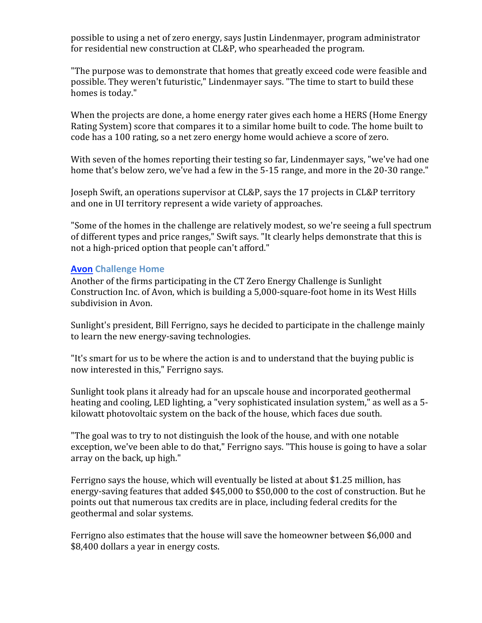possible
to
using
a
net
of
zero
energy,
says
Justin
Lindenmayer,
program
administrator for
residential
new
construction
at
CL&P,
who
spearheaded
the
program.

"The purpose was to demonstrate that homes that greatly exceed code were feasible and possible.
They
weren't
futuristic,"
Lindenmayer
says.
"The
time
to
start
to
build
these homes
is
today."

When the projects are done, a home energy rater gives each home a HERS (Home Energy Rating System) score that compares it to a similar home built to code. The home built to code
has
a
100
rating,
so
a
net
zero
energy
home
would
achieve
a
score
of
zero.

With seven of the homes reporting their testing so far, Lindenmayer says, "we've had one home that's below zero, we've had a few in the 5-15 range, and more in the 20-30 range."

Joseph Swift, an operations supervisor at CL&P, says the 17 projects in CL&P territory and
one
in
UI
territory
represent
a
wide
variety
of
approaches.

"Some of the homes in the challenge are relatively modest, so we're seeing a full spectrum of different types and price ranges," Swift says. "It clearly helps demonstrate that this is not
a
high‐priced
option
that
people
can't
afford."

## **Avon
Challenge
Home**

Another of the firms participating in the CT Zero Energy Challenge is Sunlight Construction Inc. of Avon, which is building a 5,000-square-foot home in its West Hills subdivision
in
Avon.

Sunlight's president, Bill Ferrigno, says he decided to participate in the challenge mainly to
learn
the
new
energy‐saving
technologies.

"It's smart for us to be where the action is and to understand that the buying public is now
interested
in
this,"
Ferrigno
says.

Sunlight took plans it already had for an upscale house and incorporated geothermal heating and cooling, LED lighting, a "very sophisticated insulation system," as well as a 5kilowatt photovoltaic system on the back of the house, which faces due south.

"The
goal
was
to
try
to
not
distinguish
the
look
of
the
house,
and
with
one
notable exception, we've been able to do that," Ferrigno says. "This house is going to have a solar array
on
the
back,
up
high."

Ferrigno says the house, which will eventually be listed at about \$1.25 million, has energy-saving features that added \$45,000 to \$50,000 to the cost of construction. But he points
out
that
numerous
tax
credits
are
in
place,
including
federal
credits
for
the geothermal
and
solar
systems.

Ferrigno also estimates that the house will save the homeowner between \$6,000 and \$8,400
dollars
a
year
in
energy
costs.